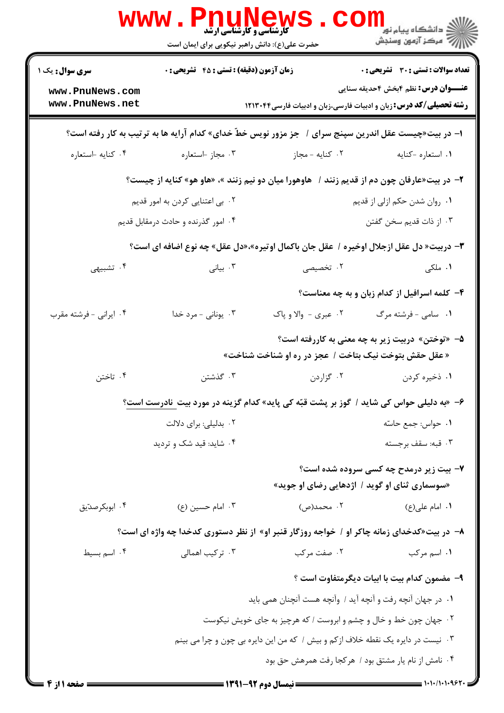|                                                                                                        | <b>WWW.Phun</b><br><b>کارشناسی و کارشناسی ارشد</b><br>حضرت علی(ع): دانش راهبر نیکویی برای ایمان است |                                                                                              | ر دانشڪاه پيام نور <mark>−</mark><br>ر <i>ا</i> =<br>رکز آزمون وسنڊش |  |
|--------------------------------------------------------------------------------------------------------|-----------------------------------------------------------------------------------------------------|----------------------------------------------------------------------------------------------|----------------------------------------------------------------------|--|
| <b>سری سوال :</b> یک ۱                                                                                 | زمان آزمون (دقیقه) : تستی : 45 آتشریحی : 0                                                          |                                                                                              | <b>تعداد سوالات : تستی : 30 ٪ تشریحی : 0</b>                         |  |
| www.PnuNews.com<br>www.PnuNews.net                                                                     |                                                                                                     | <b>رشته تحصیلی/کد درس:</b> زبان و ادبیات فارسی،زبان و ادبیات فارسی۱۲۱۳۰۴۴                    | <b>عنـــوان درس:</b> نظم ۴بخش ۴حدیقه سنایی                           |  |
| ا– در بیت«چیست عقل اندرین سپنج سرای /   جز مزور نویس خطّ خدای» کدام آرایه ها به ترتیب به کار رفته است؟ |                                                                                                     |                                                                                              |                                                                      |  |
| ۰۴ كنايه استعاره                                                                                       | ۰۳ مجاز -استعاره                                                                                    | ۰۲ کنایه - مجاز                                                                              | ٠١ استعاره -كنايه                                                    |  |
|                                                                                                        |                                                                                                     | ۲- در بیت«عارفان چون دم از قدیم زنند /   هاوهورا میان دو نیم زنند »، «هاو هو» کنایه از چیست؟ |                                                                      |  |
|                                                                                                        | ۰۲ بی اعتنایی کردن به امور قدیم                                                                     |                                                                                              | ۰۱ روان شدن حکم ازلی از قدیم                                         |  |
|                                                                                                        | ۰۴ امور گذرنده و حادث درمقابل قدیم                                                                  |                                                                                              | ۰۳ از ذات قدیم سخن گفتن                                              |  |
|                                                                                                        |                                                                                                     | ٣- دربیت« دل عقل ازجلال اوخیره / عقل جان باکمال اوتیره»،«دل عقل» چه نوع اضافه ای است؟        |                                                                      |  |
| ۰۴ تشبیهی                                                                                              | ۰۳ بیانی                                                                                            | ۰۲ تخصیصی                                                                                    | ۰۱ ملکی                                                              |  |
|                                                                                                        |                                                                                                     |                                                                                              | ۴- کلمه اسرافیل از کدام زبان و به چه معناست؟                         |  |
| ۰۴ ایرانی - فرشته مقرب                                                                                 | ۰۳ یونانی - مرد خدا                                                                                 | ۰۲ عبری - والا و پاک                                                                         | ۰۱ سامی - فرشته مرگ                                                  |  |
|                                                                                                        |                                                                                                     |                                                                                              | ۵– «توختن» دربیت زیر به چه معنی به کاررفته است؟                      |  |
|                                                                                                        |                                                                                                     | « عقل حقش بتوخت نیک بتاخت / عجز در ره او شناخت شناخت»                                        |                                                                      |  |
| ۰۴ تاختن                                                                                               | ۰۳ گذشتن                                                                                            | ۰۲ گزاردن                                                                                    | ۰۱ ذخیره کردن                                                        |  |
|                                                                                                        |                                                                                                     | ۶- «به دلیلی حواس کی شاید / گوز بر پشت قبّه کی پاید» کدام گزینه در مورد بیت  نادرست است؟     |                                                                      |  |
|                                                                                                        | ۰۲ بدلیلی: برای دلالت                                                                               |                                                                                              | ٠١ حواس: جمع حاسّه                                                   |  |
|                                                                                                        | ۰۴ شاید: قید شک و تردید                                                                             |                                                                                              | ۰۳ قبه: سقف برجسته                                                   |  |
|                                                                                                        |                                                                                                     |                                                                                              | ۷- بیت زیر درمدح چه کسی سروده شده است؟                               |  |
|                                                                                                        |                                                                                                     |                                                                                              | «سوسماری ثنای او گوید / اژدهایی رضای او جوید»                        |  |
| ۰۴ ابوبکرصدّیق                                                                                         | ۰۳ امام حسین (ع)                                                                                    | ۰۲ محمد(ص)                                                                                   | ۰۱ امام علی(ع)                                                       |  |
| ۸− در بیت«کدخدای زمانه چاکر او / خواجه روزگار قنبر او» از نظر دستوری کدخدا چه واژه ای است؟             |                                                                                                     |                                                                                              |                                                                      |  |
| ۰۴ اسم بسیط                                                                                            | ۰۳ ترکیب اهمالی                                                                                     | ۰۲ صفت مرکب                                                                                  | ۰۱ اسم مرکب                                                          |  |
|                                                                                                        |                                                                                                     |                                                                                              | ۹- مضمون كدام بيت با ابيات ديگرمتفاوت است ؟                          |  |
|                                                                                                        |                                                                                                     | ٠١ در جهان أنچه رفت و أنچه أيد / وأنچه هست أنچنان همي بايد                                   |                                                                      |  |
| ۰۲ جهان چون خط و خال و چشم و ابروست / که هرچیز به جای خویش نیکوست                                      |                                                                                                     |                                                                                              |                                                                      |  |
| ۰۳ نیست در دایره یک نقطه خلاف ازکم و بیش / که من این دایره بی چون و چرا می بینم                        |                                                                                                     |                                                                                              |                                                                      |  |
| ۰۴ نامش از نام یار مشتق بود / هرکجا رفت همرهش حق بود                                                   |                                                                                                     |                                                                                              |                                                                      |  |
| = صفحه 1 از 4                                                                                          |                                                                                                     | = نیمسال دوم 92-1391 =                                                                       | $= 1.1.11.1.997.$                                                    |  |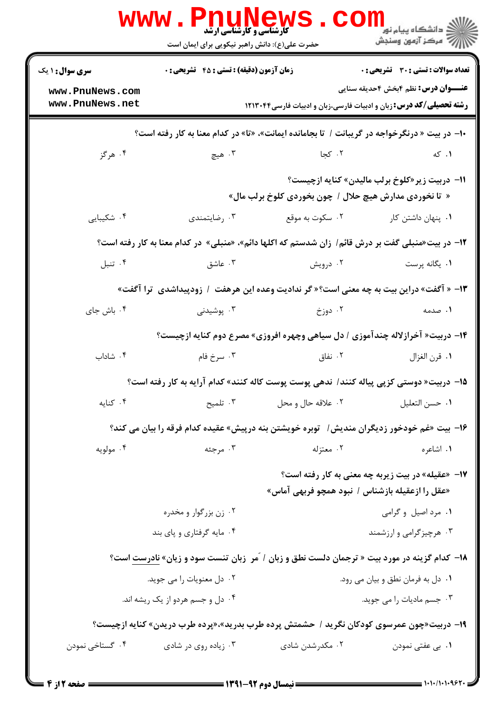|                        | <b>WWW.PNUNEW</b><br><b>کارشناسی و کارشناسی ارشد</b><br>حضرت علی(ع): دانش راهبر نیکویی برای ایمان است |                                                                               | ڪ دانشڪاه پيا <sub>م</sub> نور<br>ا∛ مرکز آزمون وسنجش |
|------------------------|-------------------------------------------------------------------------------------------------------|-------------------------------------------------------------------------------|-------------------------------------------------------|
| <b>سری سوال : ۱ یک</b> | <b>زمان آزمون (دقیقه) : تستی : 45 گتشریحی : 0</b>                                                     |                                                                               | <b>تعداد سوالات : تستی : 30 ٪ تشریحی : 0</b>          |
| www.PnuNews.com        |                                                                                                       |                                                                               | <b>عنـــوان درس:</b> نظم ۴بخش ۴حدیقه سنایی            |
| www.PnuNews.net        |                                                                                                       | <b>رشته تحصیلی/کد درس:</b> زبان و ادبیات فارسی،زبان و ادبیات فارسی۱۲۱۳۰۴۴     |                                                       |
|                        | ۱۰- در بیت « درنگرخواجه در گریبانت / تا بجامانده ایمانت»، «تا» در کدام معنا به کار رفته است؟          |                                                                               |                                                       |
| ۰۴ هرگز                | ۰۳ هيچ                                                                                                | ۰۲ کجا                                                                        | ۰۱ که                                                 |
|                        |                                                                                                       | « تا نخوردی مدارش هیچ حلال / چون بخوردی کلوخ برلب مال»                        | 11- دربیت زیر«کلوخ برلب مالیدن» کنایه ازچیست؟         |
| ۰۴ شکیبایی             | ۰۳ رضایتمندی                                                                                          | ۰۲ سکوت به موقع                                                               | ۰۱ پنهان داشتن کار                                    |
|                        | ۱۲- در بیت«منبلی گفت بر درش قائم/ زان شدستم که اکلها دائم»، «منبلی» در کدام معنا به کار رفته است؟     |                                                                               |                                                       |
| ۰۴ تنبل                | ۰۳ عاشق                                                                                               | ۰۲ درویش                                                                      | ۰۱ يگانه پرست                                         |
|                        | ۱۳- « آگفت» دراین بیت به چه معنی است؟ « گر ندادیت وعده این هرهفت  /  زودپیداشدی  ترا آگفت»            |                                                                               |                                                       |
| ۰۴ باش جای             | ۰۳ پوشیدنی                                                                                            | ۰۲ دوزخ                                                                       | ۰۱ صدمه                                               |
|                        |                                                                                                       | ۱۴- دربیت« آخرازلاله چندآموزی / دل سیاهی وچهره افروزی» مصرع دوم کنایه ازچیست؟ |                                                       |
| ۰۴ شاداب               | ۰۳ سرخ فام                                                                                            | ۰۲ نفاق                                                                       | ٠١ قرن الغزال                                         |
|                        | ۱۵–  دربیت« دوستی کزپی پیاله کنند/  ندهی پوست پوست کاله کنند» کدام آرایه به کار رفته است؟             |                                                                               |                                                       |
| ۰۴ کنایه               | ۰۳ تلمیح                                                                                              | ۰۲ علاقه حال و محل                                                            | ٠١ حسن التعليل                                        |
|                        | ۱۶– بیت «غم خودخور زدیگران مندیش/ آنوبره خویشتن بنه درپیش» عقیده کدام فرقه را بیان می کند؟            |                                                                               |                                                       |
| ۰۴ مولويه              | ۰۳ مرجئه                                                                                              | ۰۲ معتزله                                                                     | ۰۱ اشاعره                                             |
|                        |                                                                                                       | «عقل را ازعقیله بازشناس / نبود همچو فربهی آماس»                               | ۱۷– «عقیله» در بیت زیربه چه معنی به کار رفته است؟     |
|                        | ۰۲ زن بزرگوار و مخدره                                                                                 |                                                                               | ۰۱ مرد اصيل و گرامي                                   |
|                        | ۰۴ مایه گرفتاری و پای بند                                                                             |                                                                               | ۰۳ هرچیزگرامی و ارزشمند                               |
|                        | ۱۸- کدام گزینه در مورد بیت « ترجمان دلست نطق و زبان / َمر ۖ زبان تنست سود و زیان» نادرست است؟         |                                                                               |                                                       |
|                        | ۰۲ دل معنویات را می جوید.                                                                             |                                                                               | ۰۱ دل به فرمان نطق و بیان می رود.                     |
|                        | ۰۴ دل و جسم هردو از یک ریشه اند.                                                                      |                                                                               | ۰۳ جسم مادیات را می جوید.                             |
|                        | ۱۹- دربیت«چون عمرسوی کودکان نگرید / حشمتش پرده طرب بدرید»،«پرده طرب دریدن» کنایه ازچیست؟              |                                                                               |                                                       |
| ۰۴ گستاخی نمودن        | ۰۳ زیاده روی در شادی                                                                                  | ۰۲ مکدرشدن شادی                                                               | ۰۱ بی عفتی نمودن                                      |
|                        |                                                                                                       |                                                                               |                                                       |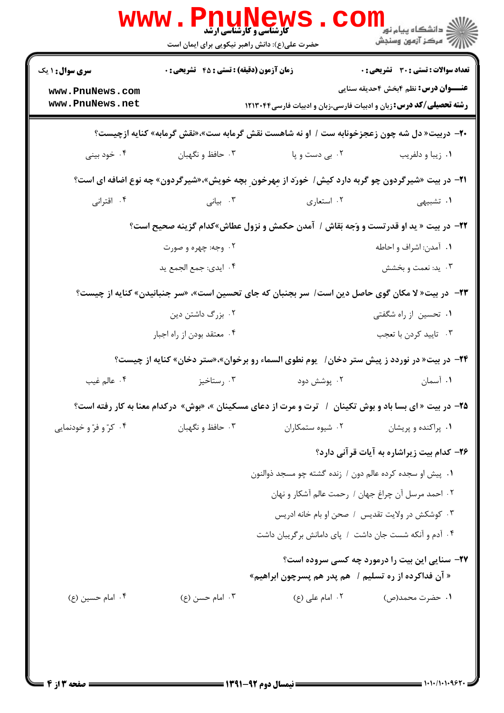|                                                                                                        | <b>WWW.PNUNEW</b><br>حضرت علی(ع): دانش راهبر نیکویی برای ایمان است | <b>کارشناسی و کارشناسی ارشد</b>                          | ≦ دانشگاه پیام نو <mark>ر</mark><br>أأزأته مركز آزمون وسنجش                                                                                                     |  |
|--------------------------------------------------------------------------------------------------------|--------------------------------------------------------------------|----------------------------------------------------------|-----------------------------------------------------------------------------------------------------------------------------------------------------------------|--|
| <b>سری سوال : ۱ یک</b><br>www.PnuNews.com<br>www.PnuNews.net                                           | زمان آزمون (دقیقه) : تستی : 45 آتشریحی : 0                         |                                                          | تعداد سوالات : تستي : 30 ٪ تشريحي : 0<br><b>عنـــوان درس:</b> نظم ۴بخش ۴حدیقه سنایی<br><b>رشته تحصیلی/کد درس:</b> زبان و ادبیات فارسی،زبان و ادبیات فارسی۲۱۳۰۴۴ |  |
| <b>۲۰</b> - دربیت« دل شه چون زعجزخونابه ست / او نه شاهست نقش گرمابه ست»،«نقش گرمابه» کنایه ازچیست؟     |                                                                    |                                                          |                                                                                                                                                                 |  |
| ۰۴ خود بيني                                                                                            | ۰۳ حافظ و نگهبان                                                   | ۰۲ بی دست و پا                                           | ٠١ زيبا و دلفريب                                                                                                                                                |  |
|                                                                                                        |                                                                    |                                                          | <b>۲۱</b> - در بیت «شیرگردون چو گربه دارد کیش/ خورَد از مِهرخون ِ بچه خویش»،«شیرگردون» چه نوع اضافه ای است؟                                                     |  |
| ۰۴ اقترانی                                                                                             | ۰۳ بیانی                                                           | ۰۲ استعاری                                               | ۰۱ تشبیهی                                                                                                                                                       |  |
| 22- در بیت « ید او قدرتست و وَجه بَقاش / آمدن حکمش و نزول عطاش»کدام گزینه صحیح است؟                    |                                                                    |                                                          |                                                                                                                                                                 |  |
|                                                                                                        | ۰۲ وجه: چهره و صورت                                                |                                                          | ۰۱ آمدن: اشراف و احاطه                                                                                                                                          |  |
|                                                                                                        | ۰۴ ایدی: جمع الجمع ید                                              |                                                          | ۰۳ يد: نعمت و بخشش                                                                                                                                              |  |
|                                                                                                        |                                                                    |                                                          | ۲۳− در بیت« لا مکان گوی حاصل دین است/ سر بجنبان که جای تحسین است»، «سر جنبانیدن» کنایه از چیست؟                                                                 |  |
|                                                                                                        | ۰۲ بزرگ داشتن دین                                                  |                                                          | ۰۱ تحسین از راه شگفتی                                                                                                                                           |  |
|                                                                                                        | ۰۴ معتقد بودن از راه اجبار                                         |                                                          | ۰۳ تاييد كردن با تعجب                                                                                                                                           |  |
| <b>۳۴</b> − در بیت« در نوردد ز پیش ستر دخان/ یوم نطوی السماء رو برخوان»،«ستر دخان» کنایه از چیست؟      |                                                                    |                                                          |                                                                                                                                                                 |  |
| ۰۴ عالم غيب                                                                                            | ۰۳ رستاخیز                                                         | ۰۲ پوشش دود                                              | ۰۱ آسمان                                                                                                                                                        |  |
| ۲۵- در بیت « ای بسا باد و بوش تکینان ۱ ترت و مرت از دعای مسکینان »، «بوش» درکدام معنا به کار رفته است؟ |                                                                    |                                                          |                                                                                                                                                                 |  |
| ۰۴ کرّ و فرّ و خودنمایی                                                                                | ۰۳ حافظ و نگهبان                                                   | ۰۲ شیوه ستمکاران                                         | ۰۱ پراکنده و پریشان                                                                                                                                             |  |
|                                                                                                        |                                                                    |                                                          | ۲۶- کدام بیت زیراشاره به آیات قرآنی دارد؟                                                                                                                       |  |
|                                                                                                        |                                                                    | ٠١ پيش او سجده كرده عالم دون / زنده گشته چو مسجد ذوالنون |                                                                                                                                                                 |  |
|                                                                                                        |                                                                    |                                                          | ۰۲ احمد مرسل آن چراغ جهان / رحمت عالم آشکار و نهان                                                                                                              |  |
|                                                                                                        |                                                                    |                                                          | ۰۳ کوشکش در ولایت تقدیس / صحن او بام خانه ادریس                                                                                                                 |  |
|                                                                                                        |                                                                    |                                                          | ۰۴ آدم و آنکه شست جان داشت ۱ پای دامانش برگریبان داشت                                                                                                           |  |
|                                                                                                        |                                                                    | « آن فداکرده از ره تسلیم /   هم پدر هم پسرچون ابراهیم»   | ۲۷- سنایی این بیت را درمورد چه کسی سروده است؟                                                                                                                   |  |
| ۰۴ امام حسين (ع)                                                                                       | ۰۳ امام حسن (ع)                                                    | ۰۲ امام علی (ع)                                          | ۰۱ حضرت محمد(ص)                                                                                                                                                 |  |